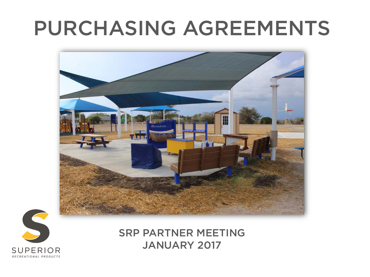## PURCHASING AGREEMENTS





SRP PARTNER MEETING JANUARY 2017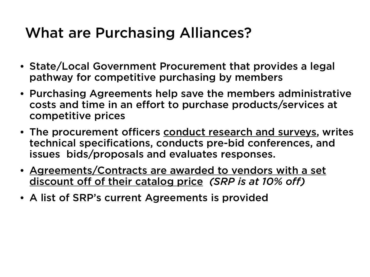## What are Purchasing Alliances?

- State/Local Government Procurement that provides a legal pathway for competitive purchasing by members
- Purchasing Agreements help save the members administrative costs and time in an effort to purchase products/services at competitive prices
- The procurement officers conduct research and surveys, writes technical specifications, conducts pre-bid conferences, and issues bids/proposals and evaluates responses.
- Agreements/Contracts are awarded to vendors with a set discount off of their catalog price *(SRP is at 10% off)*
- A list of SRP's current Agreements is provided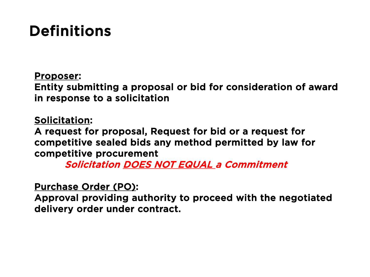## Definitions

Proposer:

Entity submitting a proposal or bid for consideration of award in response to a solicitation

Solicitation:

A request for proposal, Request for bid or a request for competitive sealed bids any method permitted by law for competitive procurement

Solicitation DOES NOT EQUAL a Commitment

Purchase Order (PO):

Approval providing authority to proceed with the negotiated delivery order under contract.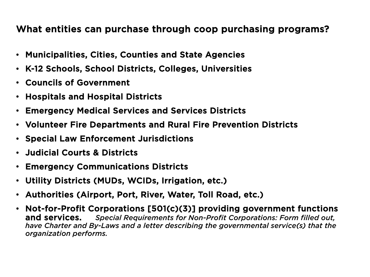#### What entities can purchase through coop purchasing programs?

- Municipalities, Cities, Counties and State Agencies
- K-12 Schools, School Districts, Colleges, Universities
- Councils of Government
- Hospitals and Hospital Districts
- Emergency Medical Services and Services Districts
- Volunteer Fire Departments and Rural Fire Prevention Districts
- Special Law Enforcement Jurisdictions
- Judicial Courts & Districts
- Emergency Communications Districts
- Utility Districts (MUDs, WCIDs, Irrigation, etc.)
- Authorities (Airport, Port, River, Water, Toll Road, etc.)
- Not-for-Profit Corporations [501(c)(3)] providing government functions and services. *Special Requirements for Non-Profit Corporations: Form filled out, have Charter and By-Laws and a letter describing the governmental service(s) that the organization performs.*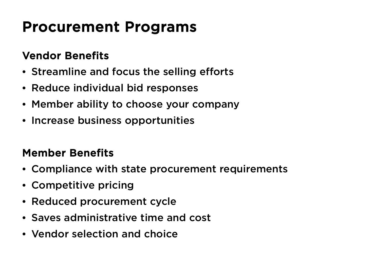## Procurement Programs

#### Vendor Benefits

- Streamline and focus the selling efforts
- Reduce individual bid responses
- Member ability to choose your company
- Increase business opportunities

#### Member Benefits

- Compliance with state procurement requirements
- Competitive pricing
- Reduced procurement cycle
- Saves administrative time and cost
- Vendor selection and choice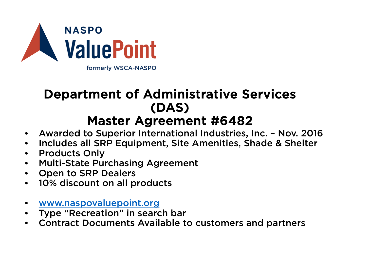

#### Department of Administrative Services (DAS) Master Agreement #6482

- Awarded to Superior International Industries, Inc. Nov. 2016
- Includes all SRP Equipment, Site Amenities, Shade & Shelter
- Products Only
- Multi-State Purchasing Agreement
- Open to SRP Dealers
- 10% discount on all products
- [www.naspovaluepoint.org](http://www.naspovaluepoint.org/)
- Type "Recreation" in search bar
- Contract Documents Available to customers and partners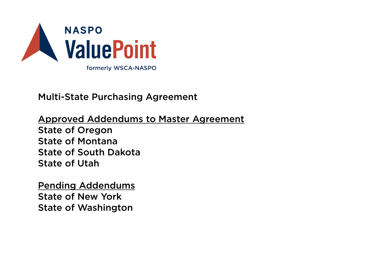

Multi-State Purchasing Agreement

Approved Addendums to Master Agreement State of Oregon State of Montana State of South Dakota State of Utah

Pending Addendums State of New York State of Washington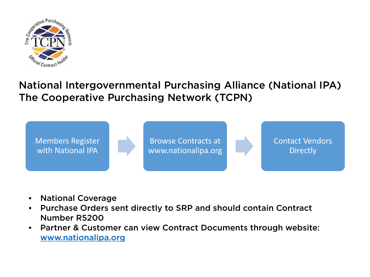

#### National Intergovernmental Purchasing Alliance (National IPA) The Cooperative Purchasing Network (TCPN)



- National Coverage
- Purchase Orders sent directly to SRP and should contain Contract Number R5200
- Partner & Customer can view Contract Documents through website: [www.nationalipa.org](http://www.nationalipa.org/)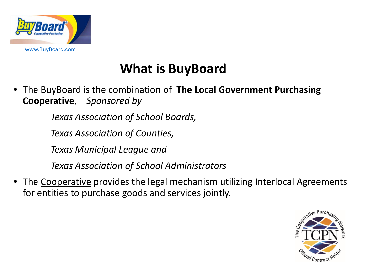

### **What is BuyBoard**

• The BuyBoard is the combination of **The Local Government Purchasing Cooperative**, *Sponsored by* 

*Texas Association of School Boards,* 

*Texas Association of Counties,* 

*Texas Municipal League and* 

*Texas Association of School Administrators*

• The Cooperative provides the legal mechanism utilizing Interlocal Agreements for entities to purchase goods and services jointly.

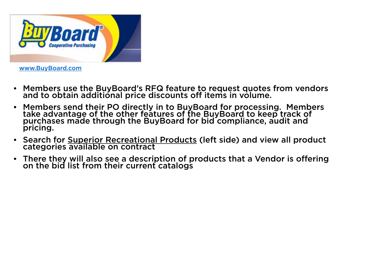

[www.BuyBoard.com](http://www.buyboard.com/)

- Members use the BuyBoard's RFQ feature to request quotes from vendors and to obtain additional price discounts off items in volume.
- Members send their PO directly in to BuyBoard for processing. Members take advantage of the other features of the BuyBoard to keep track of purchases made through the BuyBoard for bid compliance, audit and pricing.
- Search for Superior Recreational Products (left side) and view all product categories available on contract
- There they will also see a description of products that a Vendor is offering on the bid list from their current catalogs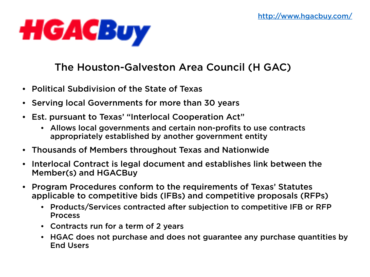

#### The Houston-Galveston Area Council (H GAC)

- Political Subdivision of the State of Texas
- Serving local Governments for more than 30 years
- Est. pursuant to Texas' "Interlocal Cooperation Act"
	- Allows local governments and certain non-profits to use contracts appropriately established by another government entity
- Thousands of Members throughout Texas and Nationwide
- Interlocal Contract is legal document and establishes link between the Member(s) and HGACBuy
- Program Procedures conform to the requirements of Texas' Statutes applicable to competitive bids (IFBs) and competitive proposals (RFPs)
	- Products/Services contracted after subjection to competitive IFB or RFP Process
	- Contracts run for a term of 2 years
	- HGAC does not purchase and does not guarantee any purchase quantities by End Users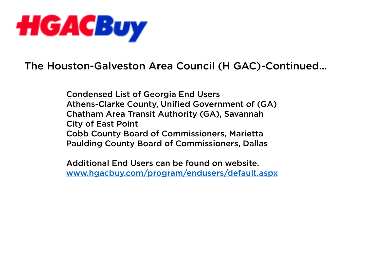

The Houston-Galveston Area Council (H GAC)-Continued…

Condensed List of Georgia End Users Athens-Clarke County, Unified Government of (GA) Chatham Area Transit Authority (GA), Savannah City of East Point Cobb County Board of Commissioners, Marietta Paulding County Board of Commissioners, Dallas

Additional End Users can be found on website. [www.hgacbuy.com/program/endusers/default.aspx](http://www.hgacbuy.com/program/endusers/default.aspx)